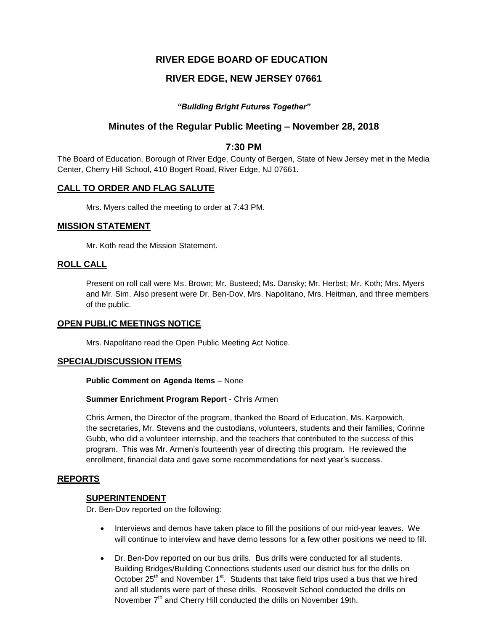# **RIVER EDGE BOARD OF EDUCATION**

# **RIVER EDGE, NEW JERSEY 07661**

## *"Building Bright Futures Together"*

## **Minutes of the Regular Public Meeting – November 28, 2018**

## **7:30 PM**

The Board of Education, Borough of River Edge, County of Bergen, State of New Jersey met in the Media Center, Cherry Hill School, 410 Bogert Road, River Edge, NJ 07661.

## **CALL TO ORDER AND FLAG SALUTE**

Mrs. Myers called the meeting to order at 7:43 PM.

## **MISSION STATEMENT**

Mr. Koth read the Mission Statement.

## **ROLL CALL**

Present on roll call were Ms. Brown; Mr. Busteed; Ms. Dansky; Mr. Herbst; Mr. Koth; Mrs. Myers and Mr. Sim. Also present were Dr. Ben-Dov, Mrs. Napolitano, Mrs. Heitman, and three members of the public.

## **OPEN PUBLIC MEETINGS NOTICE**

Mrs. Napolitano read the Open Public Meeting Act Notice.

## **SPECIAL/DISCUSSION ITEMS**

**Public Comment on Agenda Items** – None

#### **Summer Enrichment Program Report** - Chris Armen

Chris Armen, the Director of the program, thanked the Board of Education, Ms. Karpowich, the secretaries, Mr. Stevens and the custodians, volunteers, students and their families, Corinne Gubb, who did a volunteer internship, and the teachers that contributed to the success of this program. This was Mr. Armen's fourteenth year of directing this program. He reviewed the enrollment, financial data and gave some recommendations for next year's success.

## **REPORTS**

## **SUPERINTENDENT**

Dr. Ben-Dov reported on the following:

- Interviews and demos have taken place to fill the positions of our mid-year leaves. We will continue to interview and have demo lessons for a few other positions we need to fill.
- Dr. Ben-Dov reported on our bus drills. Bus drills were conducted for all students. Building Bridges/Building Connections students used our district bus for the drills on October  $25<sup>th</sup>$  and November 1<sup>st</sup>. Students that take field trips used a bus that we hired and all students were part of these drills. Roosevelt School conducted the drills on November  $7<sup>th</sup>$  and Cherry Hill conducted the drills on November 19th.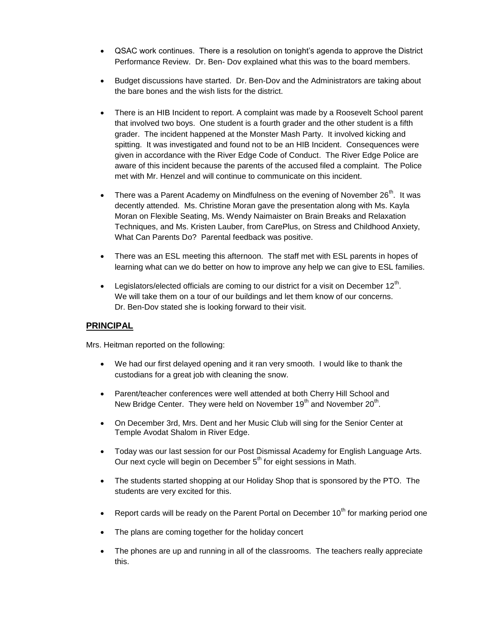- QSAC work continues. There is a resolution on tonight's agenda to approve the District Performance Review. Dr. Ben- Dov explained what this was to the board members.
- Budget discussions have started. Dr. Ben-Dov and the Administrators are taking about the bare bones and the wish lists for the district.
- There is an HIB Incident to report. A complaint was made by a Roosevelt School parent that involved two boys. One student is a fourth grader and the other student is a fifth grader. The incident happened at the Monster Mash Party. It involved kicking and spitting. It was investigated and found not to be an HIB Incident. Consequences were given in accordance with the River Edge Code of Conduct. The River Edge Police are aware of this incident because the parents of the accused filed a complaint. The Police met with Mr. Henzel and will continue to communicate on this incident.
- There was a Parent Academy on Mindfulness on the evening of November  $26<sup>th</sup>$ . It was decently attended. Ms. Christine Moran gave the presentation along with Ms. Kayla Moran on Flexible Seating, Ms. Wendy Naimaister on Brain Breaks and Relaxation Techniques, and Ms. Kristen Lauber, from CarePlus, on Stress and Childhood Anxiety, What Can Parents Do? Parental feedback was positive.
- There was an ESL meeting this afternoon. The staff met with ESL parents in hopes of learning what can we do better on how to improve any help we can give to ESL families.
- Legislators/elected officials are coming to our district for a visit on December  $12^{th}$ . We will take them on a tour of our buildings and let them know of our concerns. Dr. Ben-Dov stated she is looking forward to their visit.

## **PRINCIPAL**

Mrs. Heitman reported on the following:

- We had our first delayed opening and it ran very smooth. I would like to thank the custodians for a great job with cleaning the snow.
- Parent/teacher conferences were well attended at both Cherry Hill School and New Bridge Center. They were held on November 19<sup>th</sup> and November 20<sup>th</sup>.
- On December 3rd, Mrs. Dent and her Music Club will sing for the Senior Center at Temple Avodat Shalom in River Edge.
- Today was our last session for our Post Dismissal Academy for English Language Arts. Our next cycle will begin on December  $5<sup>th</sup>$  for eight sessions in Math.
- The students started shopping at our Holiday Shop that is sponsored by the PTO. The students are very excited for this.
- Report cards will be ready on the Parent Portal on December 10<sup>th</sup> for marking period one
- The plans are coming together for the holiday concert
- The phones are up and running in all of the classrooms. The teachers really appreciate this.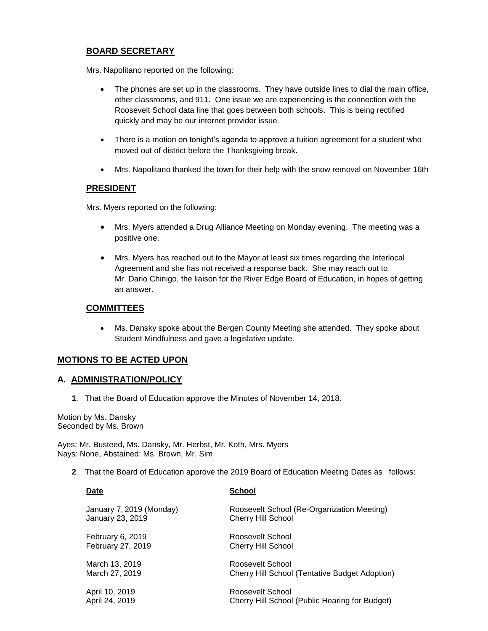## **BOARD SECRETARY**

Mrs. Napolitano reported on the following:

- The phones are set up in the classrooms. They have outside lines to dial the main office, other classrooms, and 911. One issue we are experiencing is the connection with the Roosevelt School data line that goes between both schools. This is being rectified quickly and may be our internet provider issue.
- There is a motion on tonight's agenda to approve a tuition agreement for a student who moved out of district before the Thanksgiving break.
- Mrs. Napolitano thanked the town for their help with the snow removal on November 16th

## **PRESIDENT**

Mrs. Myers reported on the following:

- Mrs. Myers attended a Drug Alliance Meeting on Monday evening. The meeting was a positive one.
- Mrs. Myers has reached out to the Mayor at least six times regarding the Interlocal Agreement and she has not received a response back. She may reach out to Mr. Dario Chinigo, the liaison for the River Edge Board of Education, in hopes of getting an answer.

## **COMMITTEES**

 Ms. Dansky spoke about the Bergen County Meeting she attended. They spoke about Student Mindfulness and gave a legislative update.

## **MOTIONS TO BE ACTED UPON**

## **A. ADMINISTRATION/POLICY**

**1**. That the Board of Education approve the Minutes of November 14, 2018.

Motion by Ms. Dansky Seconded by Ms. Brown

Ayes: Mr. Busteed, Ms. Dansky, Mr. Herbst, Mr. Koth, Mrs. Myers Nays: None, Abstained: Ms. Brown, Mr. Sim

**2**. That the Board of Education approve the 2019 Board of Education Meeting Dates as follows:

| Date                     | <b>School</b>                                         |
|--------------------------|-------------------------------------------------------|
| January 7, 2019 (Monday) | Roosevelt School (Re-Organization Meeting)            |
| January 23, 2019         | <b>Cherry Hill School</b>                             |
| February 6, 2019         | Roosevelt School                                      |
| February 27, 2019        | <b>Cherry Hill School</b>                             |
| March 13, 2019           | Roosevelt School                                      |
| March 27, 2019           | <b>Cherry Hill School (Tentative Budget Adoption)</b> |
| April 10, 2019           | Roosevelt School                                      |
| April 24, 2019           | Cherry Hill School (Public Hearing for Budget)        |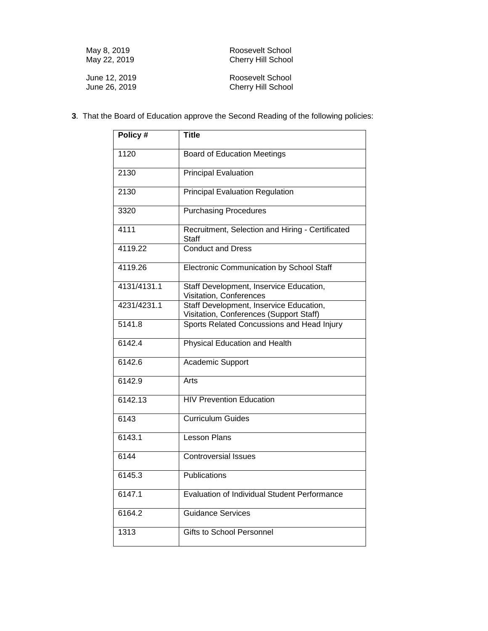| May 8, 2019   | Roosevelt School          |
|---------------|---------------------------|
| May 22, 2019  | <b>Cherry Hill School</b> |
| June 12, 2019 | Roosevelt School          |
| June 26, 2019 | <b>Cherry Hill School</b> |

**3**. That the Board of Education approve the Second Reading of the following policies:

| Policy #    | <b>Title</b>                                                                       |
|-------------|------------------------------------------------------------------------------------|
| 1120        | <b>Board of Education Meetings</b>                                                 |
| 2130        | <b>Principal Evaluation</b>                                                        |
| 2130        | <b>Principal Evaluation Regulation</b>                                             |
| 3320        | <b>Purchasing Procedures</b>                                                       |
| 4111        | Recruitment, Selection and Hiring - Certificated<br>Staff                          |
| 4119.22     | <b>Conduct and Dress</b>                                                           |
| 4119.26     | Electronic Communication by School Staff                                           |
| 4131/4131.1 | Staff Development, Inservice Education,<br>Visitation, Conferences                 |
| 4231/4231.1 | Staff Development, Inservice Education,<br>Visitation, Conferences (Support Staff) |
| 5141.8      | Sports Related Concussions and Head Injury                                         |
| 6142.4      | Physical Education and Health                                                      |
| 6142.6      | Academic Support                                                                   |
| 6142.9      | Arts                                                                               |
| 6142.13     | <b>HIV Prevention Education</b>                                                    |
| 6143        | <b>Curriculum Guides</b>                                                           |
| 6143.1      | <b>Lesson Plans</b>                                                                |
| 6144        | <b>Controversial Issues</b>                                                        |
| 6145.3      | Publications                                                                       |
| 6147.1      | Evaluation of Individual Student Performance                                       |
| 6164.2      | <b>Guidance Services</b>                                                           |
| 1313        | <b>Gifts to School Personnel</b>                                                   |
|             |                                                                                    |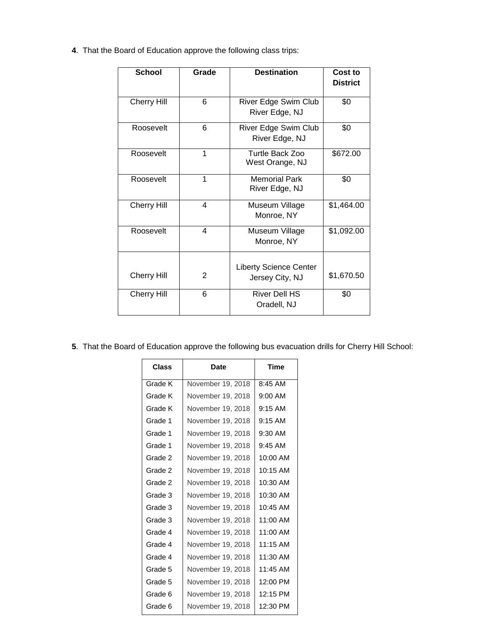**4**. That the Board of Education approve the following class trips:

| <b>School</b>      | Grade | <b>Destination</b>                               | Cost to         |
|--------------------|-------|--------------------------------------------------|-----------------|
|                    |       |                                                  | <b>District</b> |
| <b>Cherry Hill</b> | 6     | River Edge Swim Club<br>River Edge, NJ           | \$0             |
| Roosevelt          | 6     | River Edge Swim Club<br>River Edge, NJ           | \$0             |
| Roosevelt          | 1     | Turtle Back Zoo<br>West Orange, NJ               | \$672.00        |
| Roosevelt          | 1     | <b>Memorial Park</b><br>River Edge, NJ           | \$0             |
| <b>Cherry Hill</b> | 4     | Museum Village<br>Monroe, NY                     | \$1,464.00      |
| Roosevelt          | 4     | Museum Village<br>Monroe, NY                     | \$1,092.00      |
| <b>Cherry Hill</b> | 2     | <b>Liberty Science Center</b><br>Jersey City, NJ | \$1,670.50      |
| <b>Cherry Hill</b> | 6     | <b>River Dell HS</b><br>Oradell, NJ              | \$0             |

**5**. That the Board of Education approve the following bus evacuation drills for Cherry Hill School:

| Class   | Date              | Time       |
|---------|-------------------|------------|
| Grade K | November 19, 2018 | 8:45 AM    |
| Grade K | November 19, 2018 | $9:00$ AM  |
| Grade K | November 19, 2018 | $9:15$ AM  |
| Grade 1 | November 19, 2018 | $9:15$ AM  |
| Grade 1 | November 19, 2018 | 9:30 AM    |
| Grade 1 | November 19, 2018 | $9:45$ AM  |
| Grade 2 | November 19, 2018 | 10:00 AM   |
| Grade 2 | November 19, 2018 | $10:15$ AM |
| Grade 2 | November 19, 2018 | 10:30 AM   |
| Grade 3 | November 19, 2018 | 10:30 AM   |
| Grade 3 | November 19, 2018 | $10:45$ AM |
| Grade 3 | November 19, 2018 | $11:00$ AM |
| Grade 4 | November 19, 2018 | $11:00$ AM |
| Grade 4 | November 19, 2018 | $11:15$ AM |
| Grade 4 | November 19, 2018 | 11:30 AM   |
| Grade 5 | November 19, 2018 | 11:45 AM   |
| Grade 5 | November 19, 2018 | 12:00 PM   |
| Grade 6 | November 19, 2018 | 12:15 PM   |
| Grade 6 | November 19, 2018 | 12:30 PM   |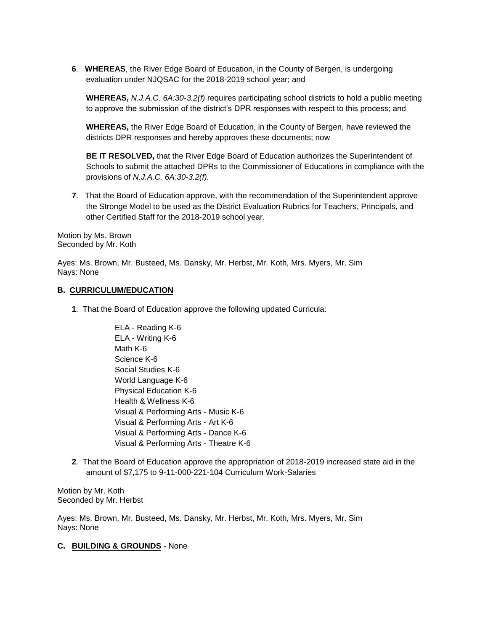**6**. **WHEREAS**, the River Edge Board of Education, in the County of Bergen, is undergoing evaluation under NJQSAC for the 2018-2019 school year; and

**WHEREAS,** *N.J.A.C. 6A:30-3.2(f)* requires participating school districts to hold a public meeting to approve the submission of the district's DPR responses with respect to this process; and

**WHEREAS,** the River Edge Board of Education, in the County of Bergen, have reviewed the districts DPR responses and hereby approves these documents; now

**BE IT RESOLVED,** that the River Edge Board of Education authorizes the Superintendent of Schools to submit the attached DPRs to the Commissioner of Educations in compliance with the provisions of *N.J.A.C. 6A:30-3.2(f).*

**7**. That the Board of Education approve, with the recommendation of the Superintendent approve the Stronge Model to be used as the District Evaluation Rubrics for Teachers, Principals, and other Certified Staff for the 2018-2019 school year.

Motion by Ms. Brown Seconded by Mr. Koth

Ayes: Ms. Brown, Mr. Busteed, Ms. Dansky, Mr. Herbst, Mr. Koth, Mrs. Myers, Mr. Sim Nays: None

#### **B. CURRICULUM/EDUCATION**

- **1**. That the Board of Education approve the following updated Curricula:
	- ELA Reading K-6 ELA - Writing K-6 Math K-6 Science K-6 Social Studies K-6 World Language K-6 Physical Education K-6 Health & Wellness K-6 Visual & Performing Arts - Music K-6 Visual & Performing Arts - Art K-6 Visual & Performing Arts - Dance K-6 Visual & Performing Arts - Theatre K-6
- **2**. That the Board of Education approve the appropriation of 2018-2019 increased state aid in the amount of \$7,175 to 9-11-000-221-104 Curriculum Work-Salaries

Motion by Mr. Koth Seconded by Mr. Herbst

Ayes: Ms. Brown, Mr. Busteed, Ms. Dansky, Mr. Herbst, Mr. Koth, Mrs. Myers, Mr. Sim Nays: None

## **C. BUILDING & GROUNDS** - None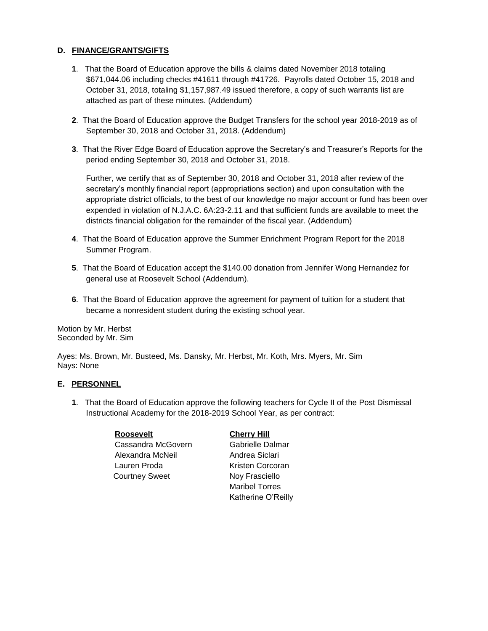## **D. FINANCE/GRANTS/GIFTS**

- **1**. That the Board of Education approve the bills & claims dated November 2018 totaling \$671,044.06 including checks #41611 through #41726. Payrolls dated October 15, 2018 and October 31, 2018, totaling \$1,157,987.49 issued therefore, a copy of such warrants list are attached as part of these minutes. (Addendum)
- **2**. That the Board of Education approve the Budget Transfers for the school year 2018-2019 as of September 30, 2018 and October 31, 2018. (Addendum)
- **3**. That the River Edge Board of Education approve the Secretary's and Treasurer's Reports for the period ending September 30, 2018 and October 31, 2018.

Further, we certify that as of September 30, 2018 and October 31, 2018 after review of the secretary's monthly financial report (appropriations section) and upon consultation with the appropriate district officials, to the best of our knowledge no major account or fund has been over expended in violation of N.J.A.C. 6A:23-2.11 and that sufficient funds are available to meet the districts financial obligation for the remainder of the fiscal year. (Addendum)

- **4**. That the Board of Education approve the Summer Enrichment Program Report for the 2018 Summer Program.
- **5**. That the Board of Education accept the \$140.00 donation from Jennifer Wong Hernandez for general use at Roosevelt School (Addendum).
- **6**. That the Board of Education approve the agreement for payment of tuition for a student that became a nonresident student during the existing school year.

Motion by Mr. Herbst Seconded by Mr. Sim

Ayes: Ms. Brown, Mr. Busteed, Ms. Dansky, Mr. Herbst, Mr. Koth, Mrs. Myers, Mr. Sim Nays: None

## **E. PERSONNEL**

**1**. That the Board of Education approve the following teachers for Cycle II of the Post Dismissal Instructional Academy for the 2018-2019 School Year, as per contract:

| <b>Roosevelt</b>      | <b>Cherry Hill</b>    |
|-----------------------|-----------------------|
| Cassandra McGovern    | Gabrielle Dalmar      |
| Alexandra McNeil      | Andrea Siclari        |
| Lauren Proda          | Kristen Corcoran      |
| <b>Courtney Sweet</b> | Noy Frasciello        |
|                       | <b>Marikal Tarran</b> |

Maribel Torres Katherine O'Reilly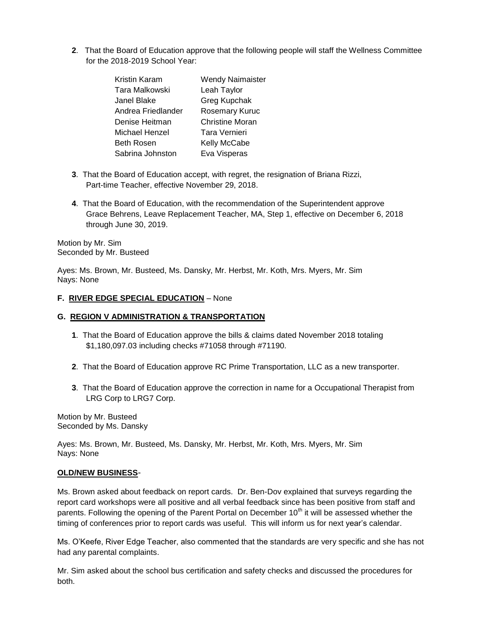**2**. That the Board of Education approve that the following people will staff the Wellness Committee for the 2018-2019 School Year:

| Kristin Karam      | <b>Wendy Naimaister</b> |
|--------------------|-------------------------|
| Tara Malkowski     | Leah Taylor             |
| Janel Blake        | Greg Kupchak            |
| Andrea Friedlander | Rosemary Kuruc          |
| Denise Heitman     | <b>Christine Moran</b>  |
| Michael Henzel     | Tara Vernieri           |
| <b>Beth Rosen</b>  | Kelly McCabe            |
| Sabrina Johnston   | Eva Visperas            |

- **3**. That the Board of Education accept, with regret, the resignation of Briana Rizzi, Part-time Teacher, effective November 29, 2018.
- **4**. That the Board of Education, with the recommendation of the Superintendent approve Grace Behrens, Leave Replacement Teacher, MA, Step 1, effective on December 6, 2018 through June 30, 2019.

Motion by Mr. Sim Seconded by Mr. Busteed

Ayes: Ms. Brown, Mr. Busteed, Ms. Dansky, Mr. Herbst, Mr. Koth, Mrs. Myers, Mr. Sim Nays: None

#### **F. RIVER EDGE SPECIAL EDUCATION** – None

#### **G. REGION V ADMINISTRATION & TRANSPORTATION**

- **1**. That the Board of Education approve the bills & claims dated November 2018 totaling \$1,180,097.03 including checks #71058 through #71190.
- **2**. That the Board of Education approve RC Prime Transportation, LLC as a new transporter.
- **3**. That the Board of Education approve the correction in name for a Occupational Therapist from LRG Corp to LRG7 Corp.

Motion by Mr. Busteed Seconded by Ms. Dansky

Ayes: Ms. Brown, Mr. Busteed, Ms. Dansky, Mr. Herbst, Mr. Koth, Mrs. Myers, Mr. Sim Nays: None

#### **OLD/NEW BUSINESS**-

Ms. Brown asked about feedback on report cards. Dr. Ben-Dov explained that surveys regarding the report card workshops were all positive and all verbal feedback since has been positive from staff and parents. Following the opening of the Parent Portal on December 10<sup>th</sup> it will be assessed whether the timing of conferences prior to report cards was useful. This will inform us for next year's calendar.

Ms. O'Keefe, River Edge Teacher, also commented that the standards are very specific and she has not had any parental complaints.

Mr. Sim asked about the school bus certification and safety checks and discussed the procedures for both.